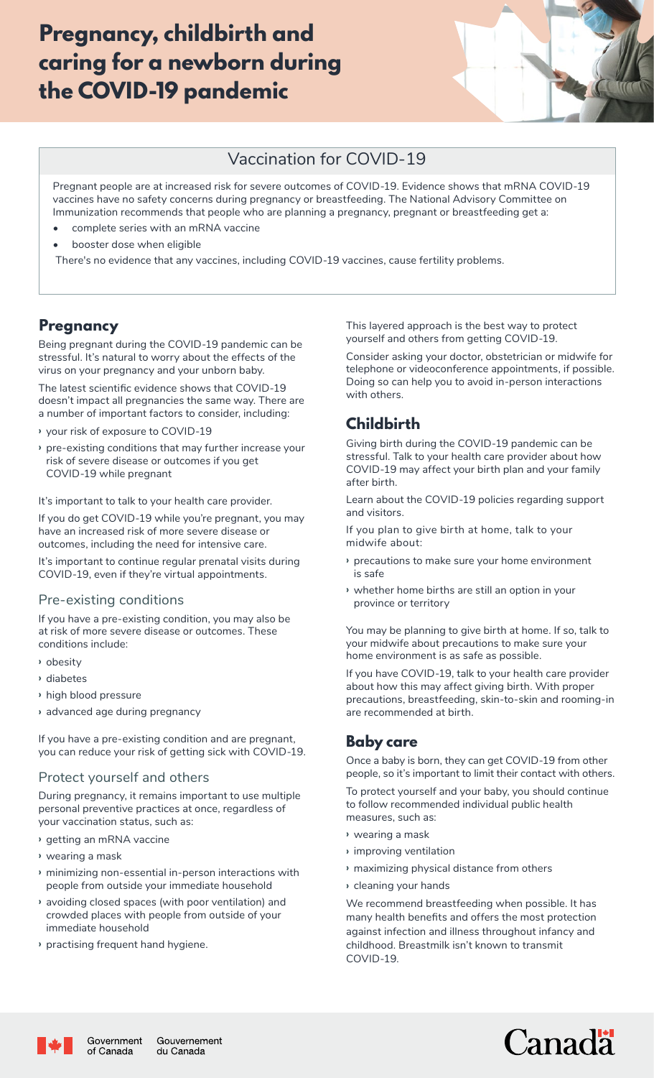# Pregnancy, childbirth and caring for a newborn during the COVID-19 pandemic



## Vaccination for COVID-19

Pregnant people are at increased risk for severe outcomes of COVID-19. Evidence shows that mRNA COVID-19 vaccines have no safety concerns during pregnancy or breastfeeding. The National Advisory Committee on Immunization recommends that people who are planning a pregnancy, pregnant or breastfeeding get a:

- complete series with an mRNA vaccine
- booster dose when eligible

There's no evidence that any vaccines, including COVID-19 vaccines, cause fertility problems.

### **Pregnancy**

Being pregnant during the COVID-19 pandemic can be stressful. It's natural to worry about the effects of the virus on your pregnancy and your unborn baby.

The latest scientific evidence shows that COVID-19 doesn't impact all pregnancies the same way. There are a number of important factors to consider, including:

- **›** your risk of exposure to COVID-19
- **›** pre-existing conditions that may further increase your risk of severe disease or outcomes if you get COVID-19 while pregnant

It's important to talk to your health care provider.

If you do get COVID-19 while you're pregnant, you may have an increased risk of more severe disease or outcomes, including the need for intensive care.

It's important to continue regular prenatal visits during COVID-19, even if they're virtual appointments.

#### Pre-existing conditions

If you have a pre-existing condition, you may also be at risk of more severe disease or outcomes. These conditions include:

- **›** obesity
- **›** diabetes
- **›** high blood pressure
- **›** advanced age during pregnancy

If you have a pre-existing condition and are pregnant, you can reduce your risk of getting sick with COVID-19.

#### Protect yourself and others

During pregnancy, it remains important to use multiple personal preventive practices at once, regardless of your vaccination status, such as:

- **›** getting an mRNA vaccine
- **›** wearing a mask
- **›** minimizing non-essential in-person interactions with people from outside your immediate household
- **›** avoiding closed spaces (with poor ventilation) and crowded places with people from outside of your immediate household
- **›** practising frequent hand hygiene.

This layered approach is the best way to protect yourself and others from getting COVID-19.

Consider asking your doctor, obstetrician or midwife for telephone or videoconference appointments, if possible. Doing so can help you to avoid in-person interactions with others.

# Childbirth

Giving birth during the COVID-19 pandemic can be stressful. Talk to your health care provider about how COVID-19 may affect your birth plan and your family after birth.

Learn about the COVID-19 policies regarding support and visitors.

If you plan to give birth at home, talk to your midwife about:

- **›** precautions to make sure your home environment is safe
- **›** whether home births are still an option in your province or territory

You may be planning to give birth at home. If so, talk to your midwife about precautions to make sure your home environment is as safe as possible.

If you have COVID-19, talk to your health care provider about how this may affect giving birth. With proper precautions, breastfeeding, skin-to-skin and rooming-in are recommended at birth.

### Baby care

Once a baby is born, they can get COVID-19 from other people, so it's important to limit their contact with others.

To protect yourself and your baby, you should continue to follow recommended individual public health measures, such as:

- **›** wearing a mask
- **›** improving ventilation
- **›** maximizing physical distance from others
- **›** cleaning your hands

We recommend breastfeeding when possible. It has many health benefits and offers the most protection against infection and illness throughout infancy and childhood. Breastmilk isn't known to transmit COVID-19.